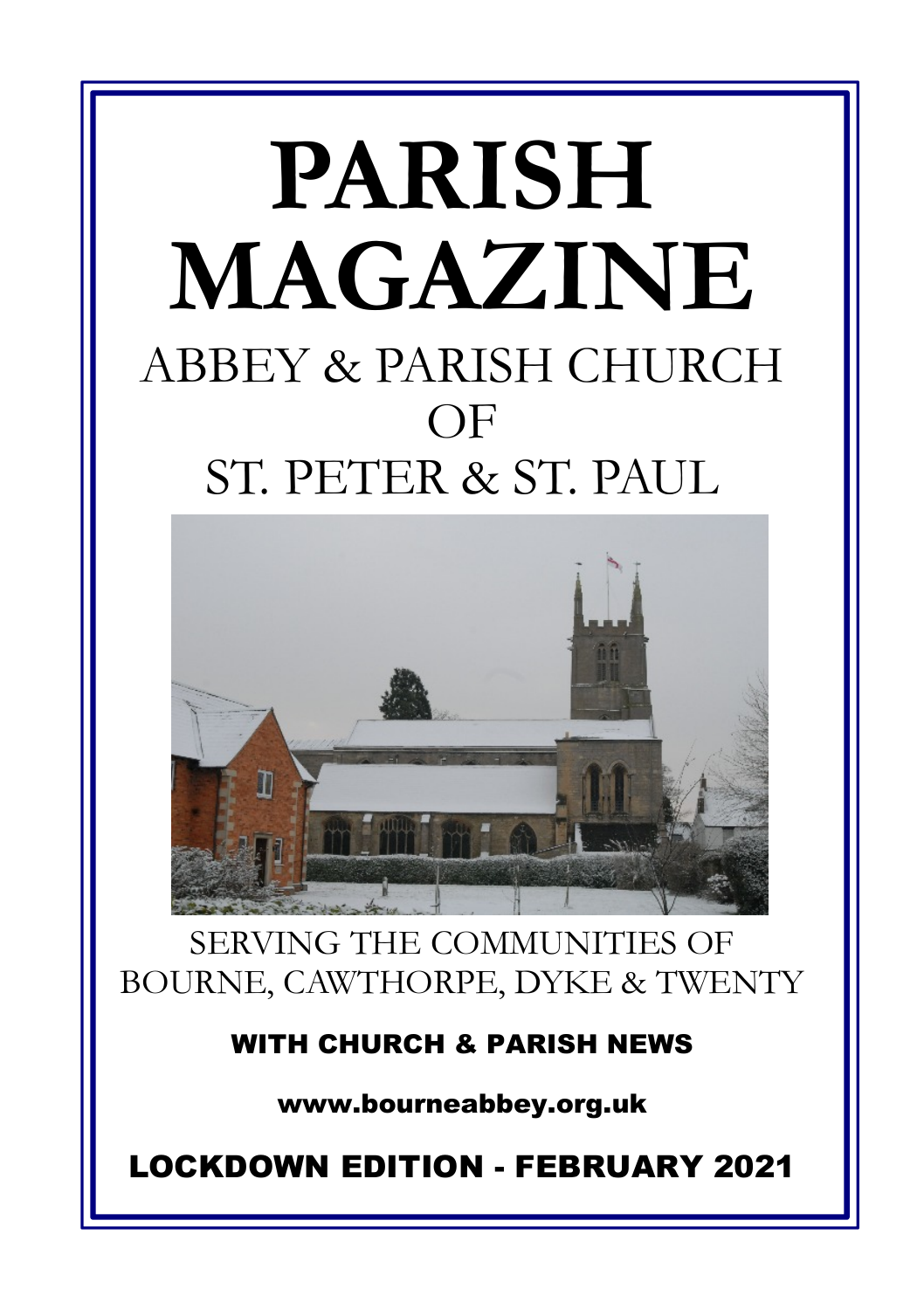## **PARISH MAGAZINE** ABBEY & PARISH CHURCH OF ST. PETER & ST. PAUL



SERVING THE COMMUNITIES OF BOURNE, CAWTHORPE, DYKE & TWENTY

**WITH CHURCH & PARISH NEWS**

**www.bourneabbey.org.uk**

**LOCKDOWN EDITION - FEBRUARY 2021**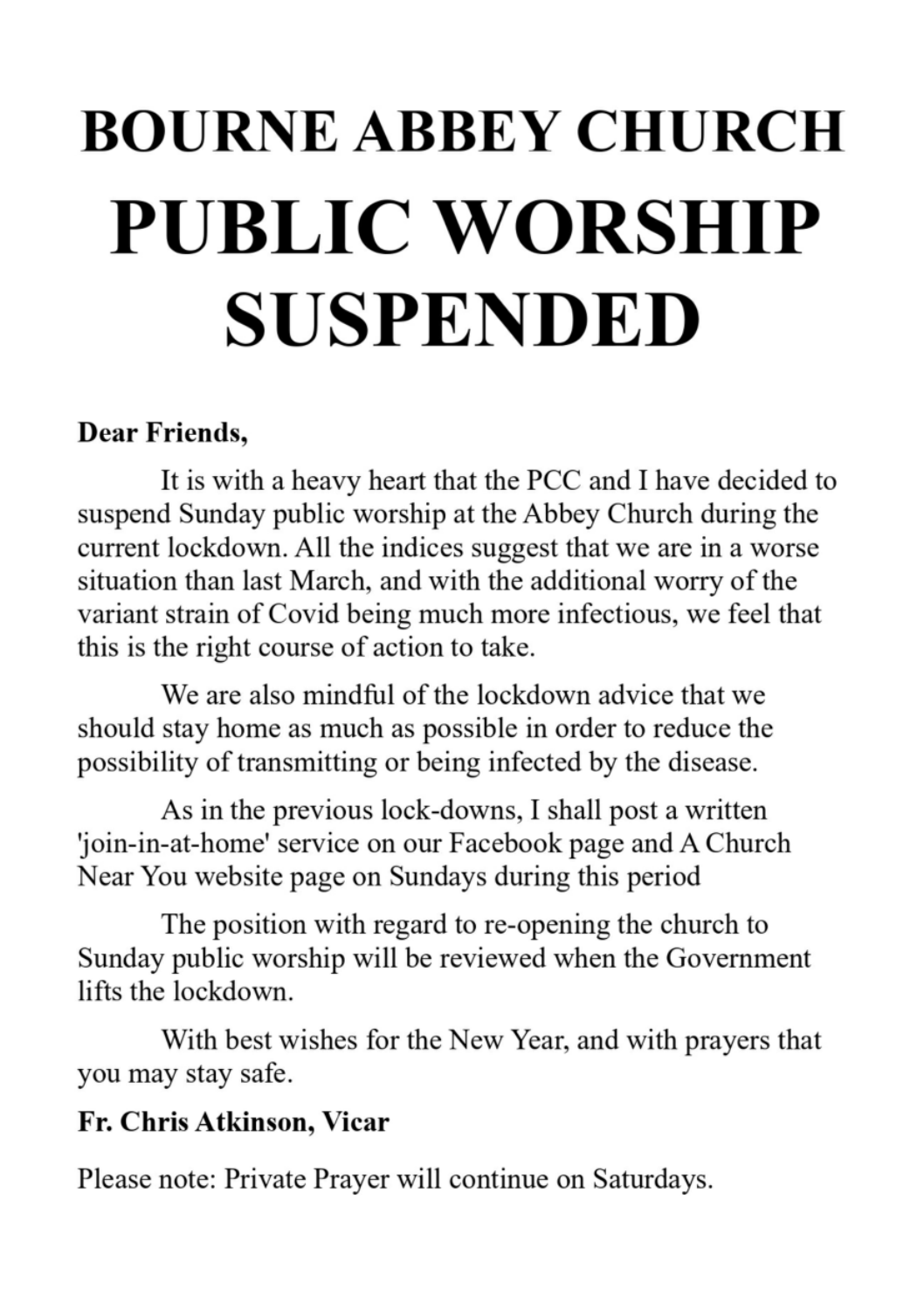# **BOURNE ABBEY CHURCH** PUBLIC WORSHIP **SUSPENDED**

### Dear Friends,

It is with a heavy heart that the PCC and I have decided to suspend Sunday public worship at the Abbey Church during the current lockdown. All the indices suggest that we are in a worse situation than last March, and with the additional worry of the variant strain of Covid being much more infectious, we feel that this is the right course of action to take.

We are also mindful of the lockdown advice that we should stay home as much as possible in order to reduce the possibility of transmitting or being infected by the disease.

As in the previous lock-downs, I shall post a written 'join-in-at-home' service on our Facebook page and A Church Near You website page on Sundays during this period

The position with regard to re-opening the church to Sunday public worship will be reviewed when the Government lifts the lockdown.

With best wishes for the New Year, and with prayers that you may stay safe.

#### Fr. Chris Atkinson, Vicar

Please note: Private Prayer will continue on Saturdays.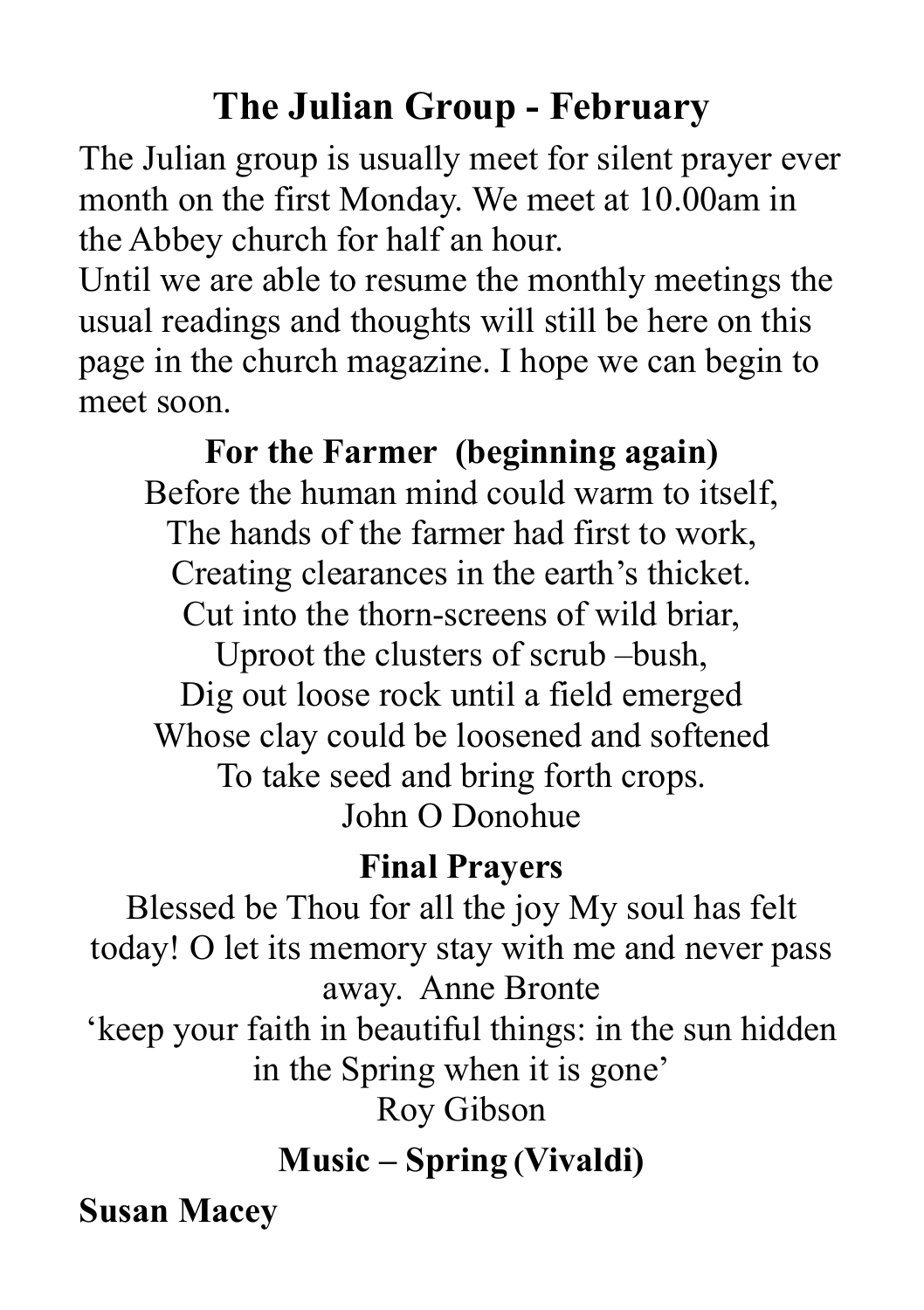## **The Julian Group - February**

The Julian group is usually meet for silent prayer ever month on the first Monday. We meet at 10.00am in the Abbey church for half an hour.

Until we are able to resume the monthly meetings the usual readings and thoughts will still be here on this page in the church magazine. I hope we can begin to meet soon.

**For the Farmer (beginning again)** Before the human mind could warm to itself, The hands of the farmer had first to work, Creating clearances in the earth's thicket. Cut into the thorn-screens of wild briar, Uproot the clusters of scrub –bush, Dig out loose rock until a field emerged Whose clay could be loosened and softened To take seed and bring forth crops. John O Donohue

## **Final Prayers**

Blessed be Thou for all the joy My soul has felt today! O let its memory stay with me and never pass away. Anne Bronte

'keep your faith in beautiful things: in the sun hidden in the Spring when it is gone'

Roy Gibson

## **Music – Spring (Vivaldi)**

**Susan Macey**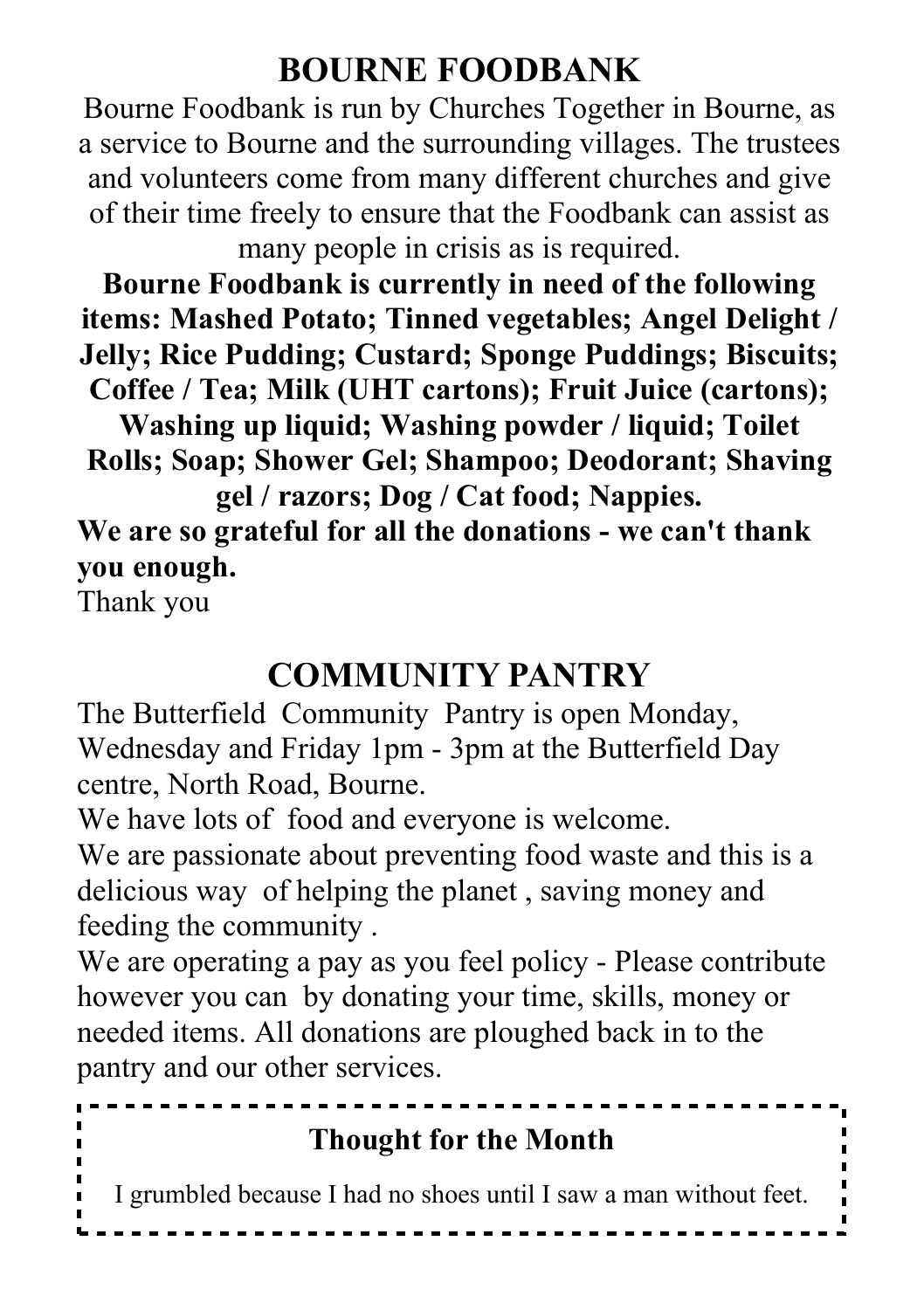## **BOURNE FOODBANK**

Bourne Foodbank is run by Churches Together in Bourne, as a service to Bourne and the surrounding villages. The trustees and volunteers come from many different churches and give of their time freely to ensure that the Foodbank can assist as many people in crisis as is required.

**Bourne Foodbank is currently in need of the following items: Mashed Potato; Tinned vegetables; Angel Delight / Jelly; Rice Pudding; Custard; Sponge Puddings; Biscuits; Coffee / Tea; Milk (UHT cartons); Fruit Juice (cartons);**

**Washing up liquid; Washing powder / liquid; Toilet Rolls; Soap; Shower Gel; Shampoo; Deodorant; Shaving gel / razors; Dog / Cat food; Nappies.**

**We are so grateful for all the donations - we can't thank you enough.**

Thank you

## **COMMUNITY PANTRY**

The Butterfield Community Pantry is open Monday, Wednesday and Friday 1pm - 3pm at the Butterfield Day centre, North Road, Bourne.

We have lots of food and everyone is welcome.

We are passionate about preventing food waste and this is a delicious way of helping the planet , saving money and feeding the community .

We are operating a pay as you feel policy - Please contribute however you can by donating your time, skills, money or needed items. All donations are ploughed back in to the pantry and our other services.

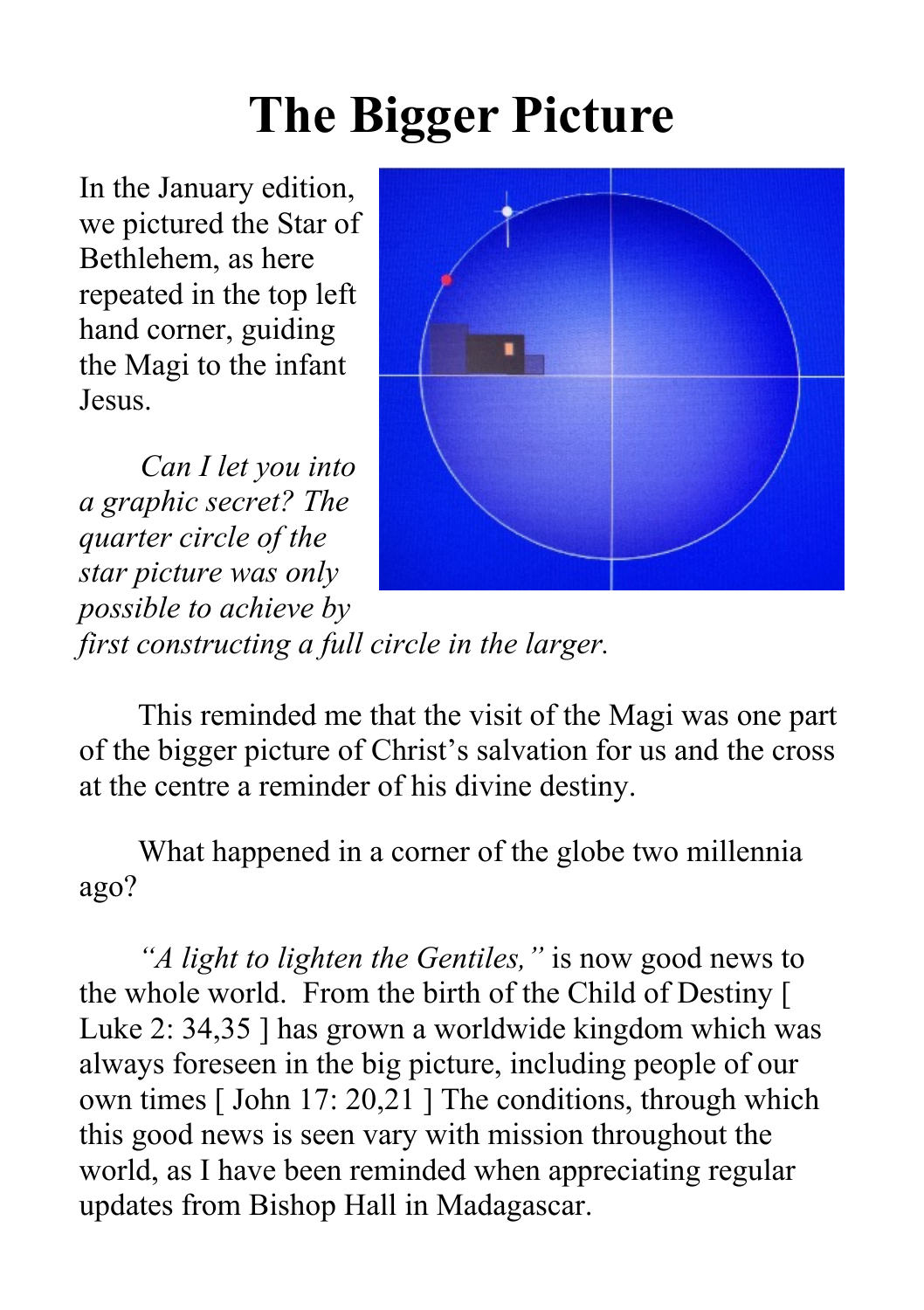## **The Bigger Picture**

In the January edition, we pictured the Star of Bethlehem, as here repeated in the top left hand corner, guiding the Magi to the infant Jesus.

*Can I let you into a graphic secret? The quarter circle of the star picture was only possible to achieve by first constructing a full circle in the larger.*



This reminded me that the visit of the Magi was one part of the bigger picture of Christ's salvation for us and the cross at the centre a reminder of his divine destiny.

What happened in a corner of the globe two millennia ago?

*"A light to lighten the Gentiles,"* is now good news to the whole world. From the birth of the Child of Destiny [ Luke 2: 34,35 ] has grown a worldwide kingdom which was always foreseen in the big picture, including people of our own times [ John 17: 20,21 ] The conditions, through which this good news is seen vary with mission throughout the world, as I have been reminded when appreciating regular updates from Bishop Hall in Madagascar.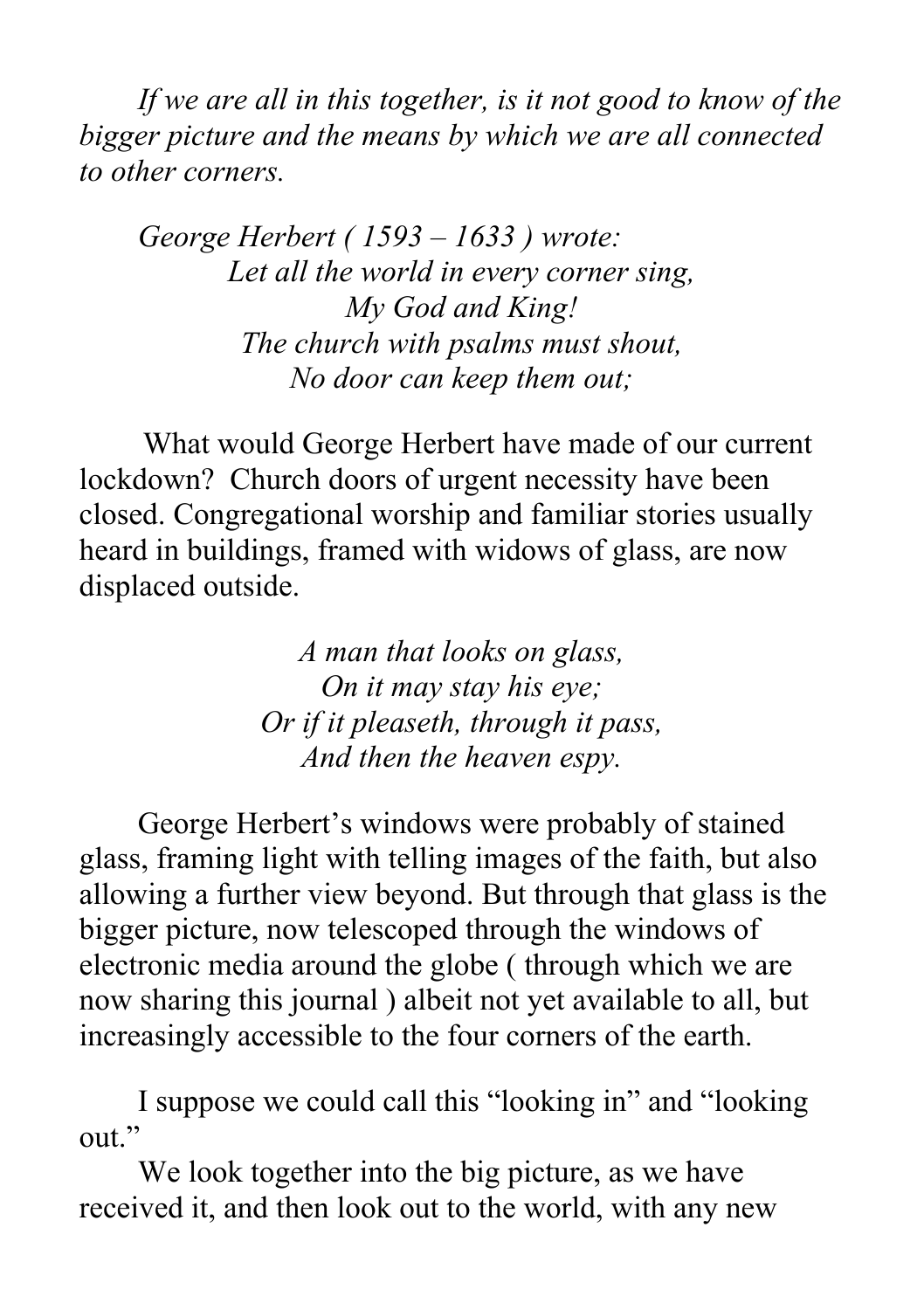*If we are all in this together, is it not good to know of the bigger picture and the means by which we are all connected to other corners.*

*George Herbert ( 1593 – 1633 ) wrote: Let all the world in every corner sing, My God and King! The church with psalms must shout, No door can keep them out;*

What would George Herbert have made of our current lockdown? Church doors of urgent necessity have been closed. Congregational worship and familiar stories usually heard in buildings, framed with widows of glass, are now displaced outside.

> *A man that looks on glass, On it may stay his eye; Or if it pleaseth, through it pass, And then the heaven espy.*

George Herbert's windows were probably of stained glass, framing light with telling images of the faith, but also allowing a further view beyond. But through that glass is the bigger picture, now telescoped through the windows of electronic media around the globe ( through which we are now sharing this journal ) albeit not yet available to all, but increasingly accessible to the four corners of the earth.

I suppose we could call this "looking in" and "looking out"

We look together into the big picture, as we have received it, and then look out to the world, with any new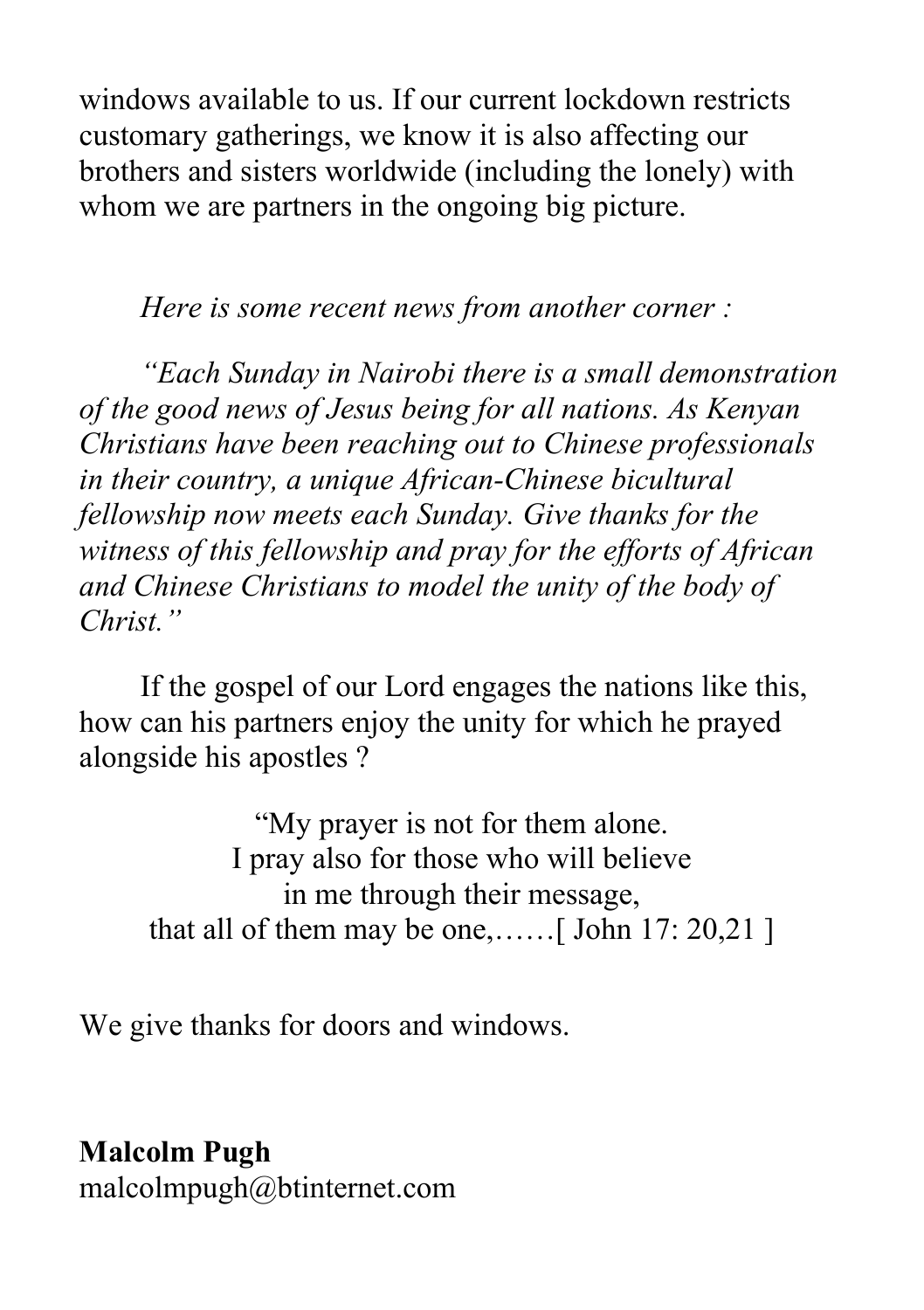windows available to us. If our current lockdown restricts customary gatherings, we know it is also affecting our brothers and sisters worldwide (including the lonely) with whom we are partners in the ongoing big picture.

*Here is some recent news from another corner :*

*"Each Sunday in Nairobi there is a small demonstration of the good news of Jesus being for all nations. As Kenyan Christians have been reaching out to Chinese professionals in their country, a unique African-Chinese bicultural fellowship now meets each Sunday. Give thanks for the witness of this fellowship and pray for the efforts of African and Chinese Christians to model the unity of the body of Christ."*

If the gospel of our Lord engages the nations like this, how can his partners enjoy the unity for which he prayed alongside his apostles ?

"My prayer is not for them alone. I pray also for those who will believe in me through their message, that all of them may be one,……[ John 17: 20,21 ]

We give thanks for doors and windows.

**Malcolm Pugh**

malcolmpugh@btinternet.com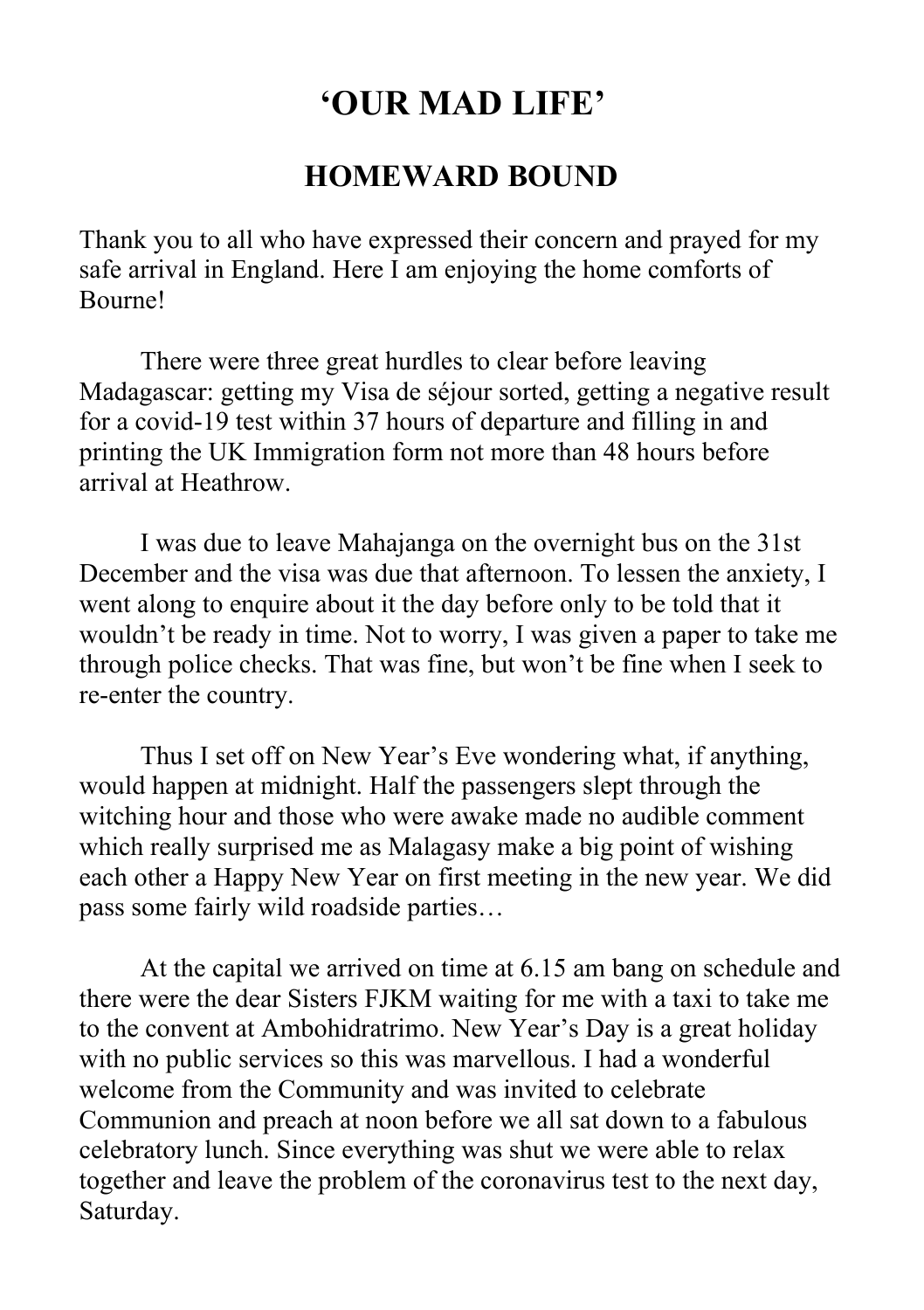## **'OUR MAD LIFE'**

#### **HOMEWARD BOUND**

Thank you to all who have expressed their concern and prayed for my safe arrival in England. Here I am enjoying the home comforts of Bourne!

There were three great hurdles to clear before leaving Madagascar: getting my Visa de séjour sorted, getting a negative result for a covid-19 test within 37 hours of departure and filling in and printing the UK Immigration form not more than 48 hours before arrival at Heathrow.

I was due to leave Mahajanga on the overnight bus on the 31st December and the visa was due that afternoon. To lessen the anxiety, I went along to enquire about it the day before only to be told that it wouldn't be ready in time. Not to worry, I was given a paper to take me through police checks. That was fine, but won't be fine when I seek to re-enter the country.

Thus I set off on New Year's Eve wondering what, if anything, would happen at midnight. Half the passengers slept through the witching hour and those who were awake made no audible comment which really surprised me as Malagasy make a big point of wishing each other a Happy New Year on first meeting in the new year. We did pass some fairly wild roadside parties…

At the capital we arrived on time at 6.15 am bang on schedule and there were the dear Sisters FJKM waiting for me with a taxi to take me to the convent at Ambohidratrimo. New Year's Day is a great holiday with no public services so this was marvellous. I had a wonderful welcome from the Community and was invited to celebrate Communion and preach at noon before we all sat down to a fabulous celebratory lunch. Since everything was shut we were able to relax together and leave the problem of the coronavirus test to the next day, Saturday.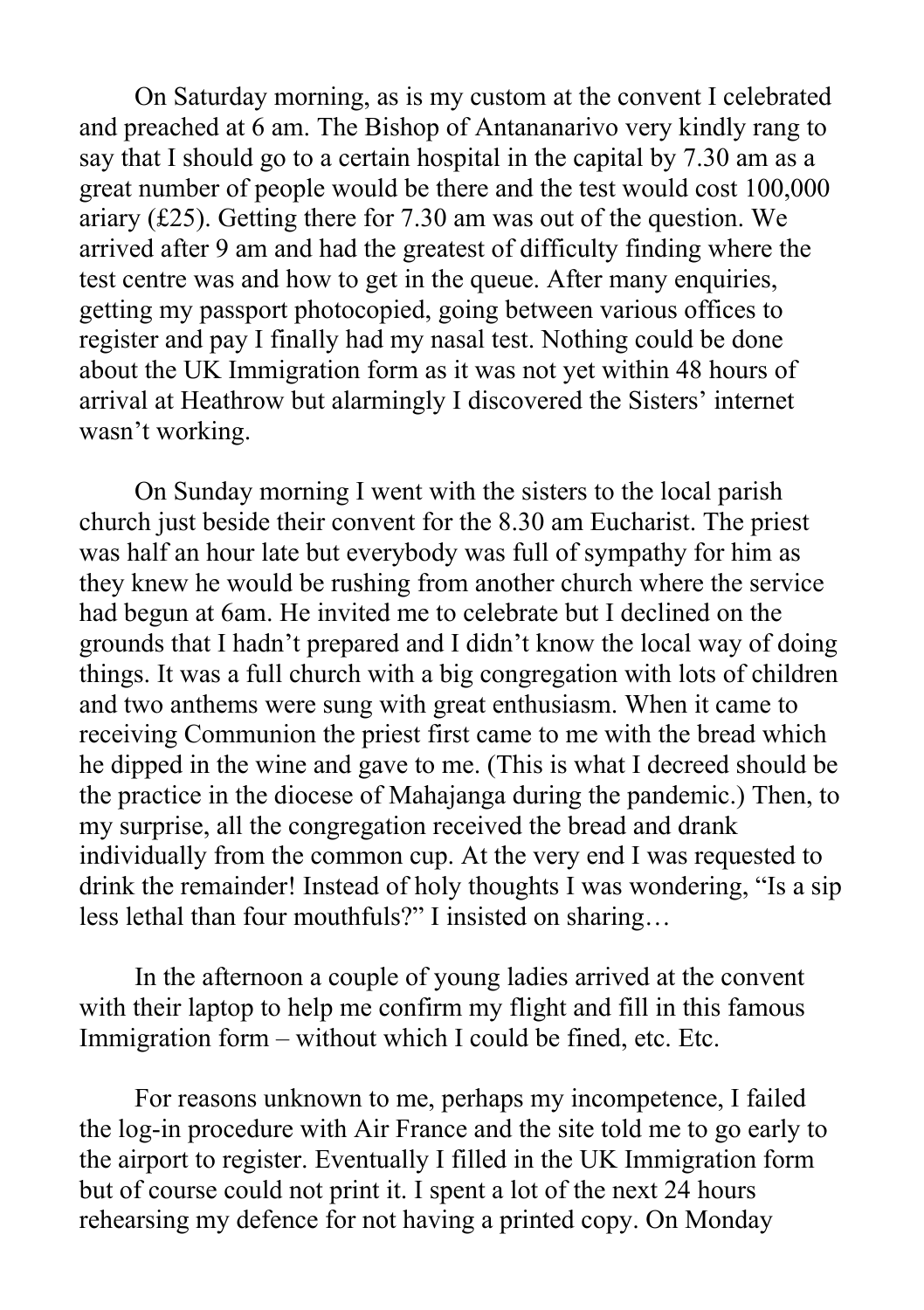On Saturday morning, as is my custom at the convent I celebrated and preached at 6 am. The Bishop of Antananarivo very kindly rang to say that I should go to a certain hospital in the capital by 7.30 am as a great number of people would be there and the test would cost 100,000 ariary (£25). Getting there for 7.30 am was out of the question. We arrived after 9 am and had the greatest of difficulty finding where the test centre was and how to get in the queue. After many enquiries, getting my passport photocopied, going between various offices to register and pay I finally had my nasal test. Nothing could be done about the UK Immigration form as it was not yet within 48 hours of arrival at Heathrow but alarmingly I discovered the Sisters' internet wasn't working.

On Sunday morning I went with the sisters to the local parish church just beside their convent for the 8.30 am Eucharist. The priest was half an hour late but everybody was full of sympathy for him as they knew he would be rushing from another church where the service had begun at 6am. He invited me to celebrate but I declined on the grounds that I hadn't prepared and I didn't know the local way of doing things. It was a full church with a big congregation with lots of children and two anthems were sung with great enthusiasm. When it came to receiving Communion the priest first came to me with the bread which he dipped in the wine and gave to me. (This is what I decreed should be the practice in the diocese of Mahajanga during the pandemic.) Then, to my surprise, all the congregation received the bread and drank individually from the common cup. At the very end I was requested to drink the remainder! Instead of holy thoughts I was wondering, "Is a sip less lethal than four mouthfuls?" I insisted on sharing…

In the afternoon a couple of young ladies arrived at the convent with their laptop to help me confirm my flight and fill in this famous Immigration form – without which I could be fined, etc. Etc.

For reasons unknown to me, perhaps my incompetence, I failed the log-in procedure with Air France and the site told me to go early to the airport to register. Eventually I filled in the UK Immigration form but of course could not print it. I spent a lot of the next 24 hours rehearsing my defence for not having a printed copy. On Monday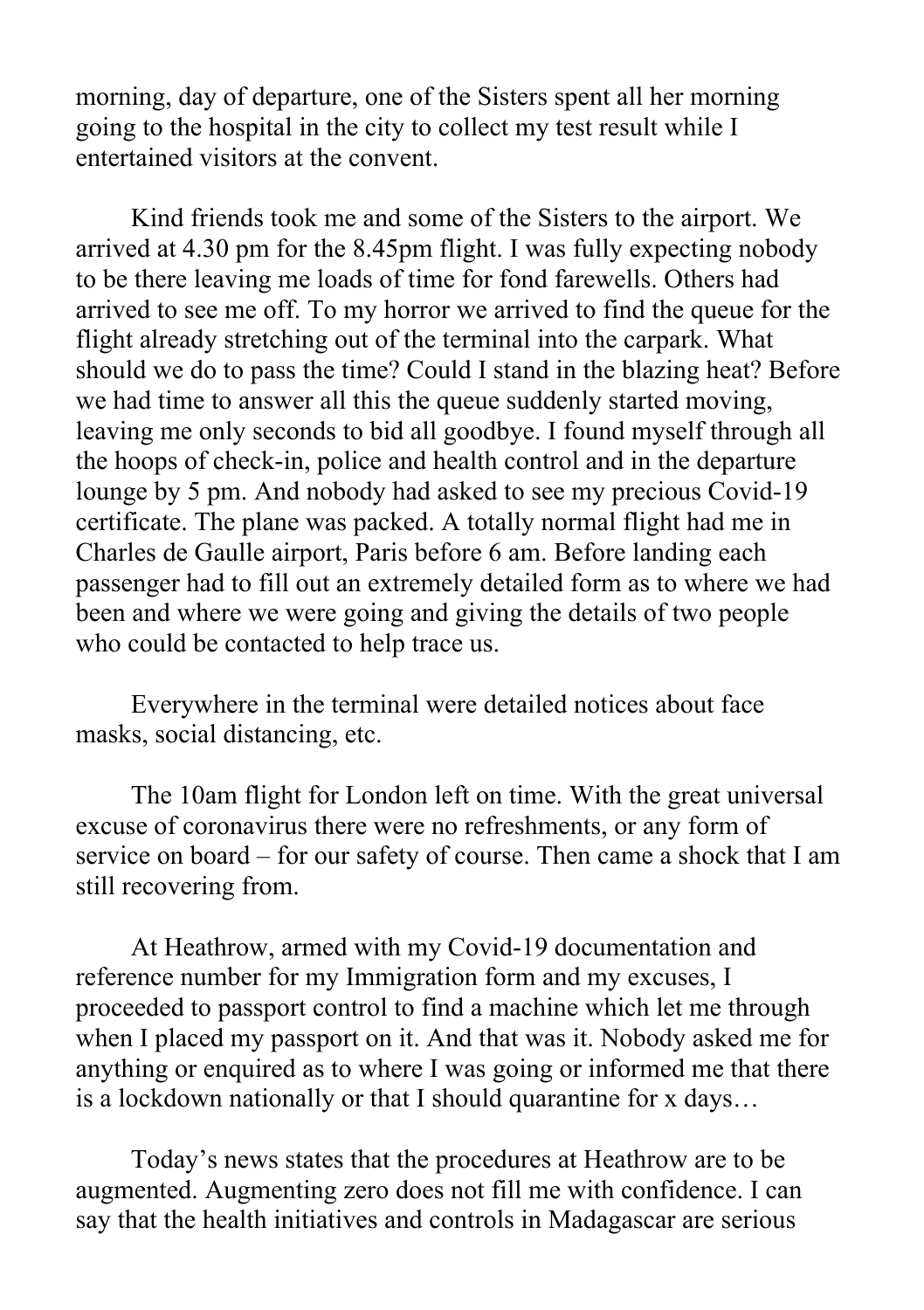morning, day of departure, one of the Sisters spent all her morning going to the hospital in the city to collect my test result while I entertained visitors at the convent.

Kind friends took me and some of the Sisters to the airport. We arrived at 4.30 pm for the 8.45pm flight. I was fully expecting nobody to be there leaving me loads of time for fond farewells. Others had arrived to see me off. To my horror we arrived to find the queue for the flight already stretching out of the terminal into the carpark. What should we do to pass the time? Could I stand in the blazing heat? Before we had time to answer all this the queue suddenly started moving, leaving me only seconds to bid all goodbye. I found myself through all the hoops of check-in, police and health control and in the departure lounge by 5 pm. And nobody had asked to see my precious Covid-19 certificate. The plane was packed. A totally normal flight had me in Charles de Gaulle airport, Paris before 6 am. Before landing each passenger had to fill out an extremely detailed form as to where we had been and where we were going and giving the details of two people who could be contacted to help trace us.

Everywhere in the terminal were detailed notices about face masks, social distancing, etc.

The 10am flight for London left on time. With the great universal excuse of coronavirus there were no refreshments, or any form of service on board – for our safety of course. Then came a shock that I am still recovering from.

At Heathrow, armed with my Covid-19 documentation and reference number for my Immigration form and my excuses, I proceeded to passport control to find a machine which let me through when I placed my passport on it. And that was it. Nobody asked me for anything or enquired as to where I was going or informed me that there is a lockdown nationally or that I should quarantine for x days…

Today's news states that the procedures at Heathrow are to be augmented. Augmenting zero does not fill me with confidence. I can say that the health initiatives and controls in Madagascar are serious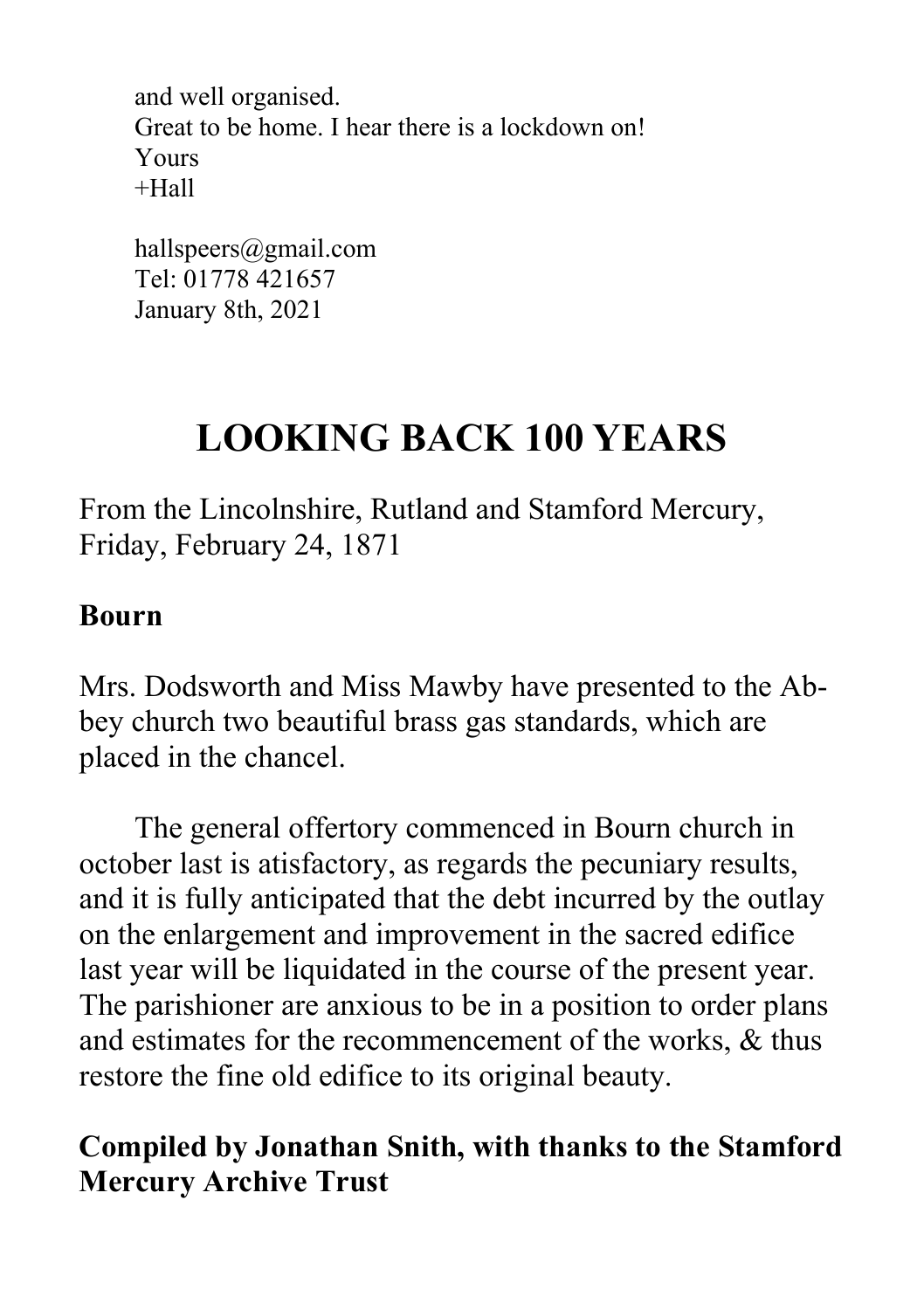and well organised. Great to be home. I hear there is a lockdown on! Yours  $+H<sub>2</sub>11$ 

hallspeers@gmail.com Tel: 01778 421657 January 8th, 2021

## **LOOKING BACK 100 YEARS**

From the Lincolnshire, Rutland and Stamford Mercury, Friday, February 24, 1871

#### **Bourn**

Mrs. Dodsworth and Miss Mawby have presented to the Abbey church two beautiful brass gas standards, which are placed in the chancel.

The general offertory commenced in Bourn church in october last is atisfactory, as regards the pecuniary results, and it is fully anticipated that the debt incurred by the outlay on the enlargement and improvement in the sacred edifice last year will be liquidated in the course of the present year. The parishioner are anxious to be in a position to order plans and estimates for the recommencement of the works, & thus restore the fine old edifice to its original beauty.

## **Compiled by Jonathan Snith, with thanks to the Stamford Mercury Archive Trust**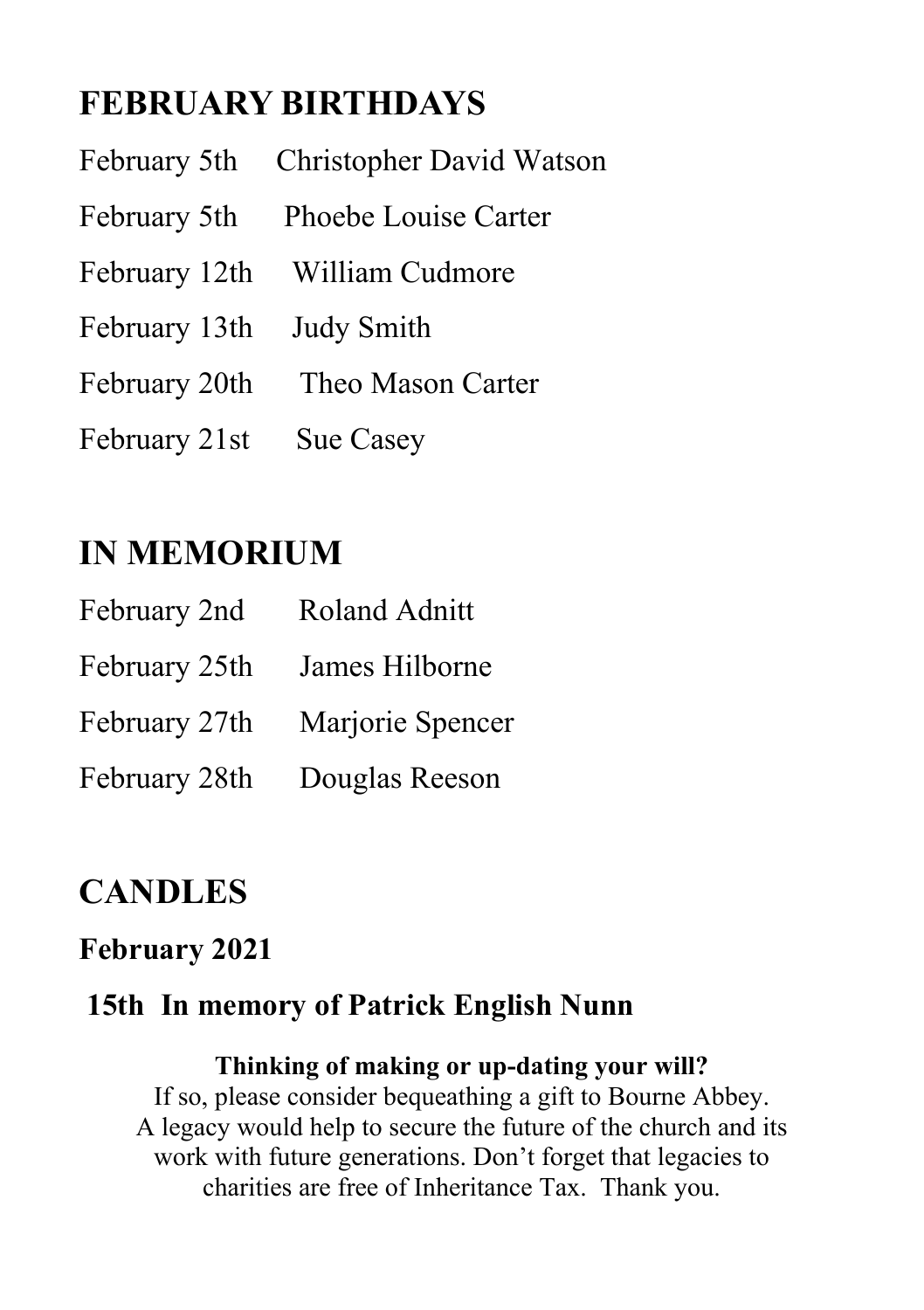## **FEBRUARY BIRTHDAYS**

|                          | February 5th Christopher David Watson |
|--------------------------|---------------------------------------|
|                          | February 5th Phoebe Louise Carter     |
|                          | February 12th William Cudmore         |
| February 13th Judy Smith |                                       |
|                          | February 20th Theo Mason Carter       |
| February 21st Sue Casey  |                                       |

## **IN MEMORIUM**

| February 2nd  | <b>Roland Adnitt</b>           |
|---------------|--------------------------------|
| February 25th | James Hilborne                 |
|               | February 27th Marjorie Spencer |
| February 28th | Douglas Reeson                 |

## **CANDLES**

### **February 2021**

### **15th In memory of Patrick English Nunn**

**Thinking of making or up-dating your will?** If so, please consider bequeathing a gift to Bourne Abbey. A legacy would help to secure the future of the church and its work with future generations. Don't forget that legacies to charities are free of Inheritance Tax. Thank you.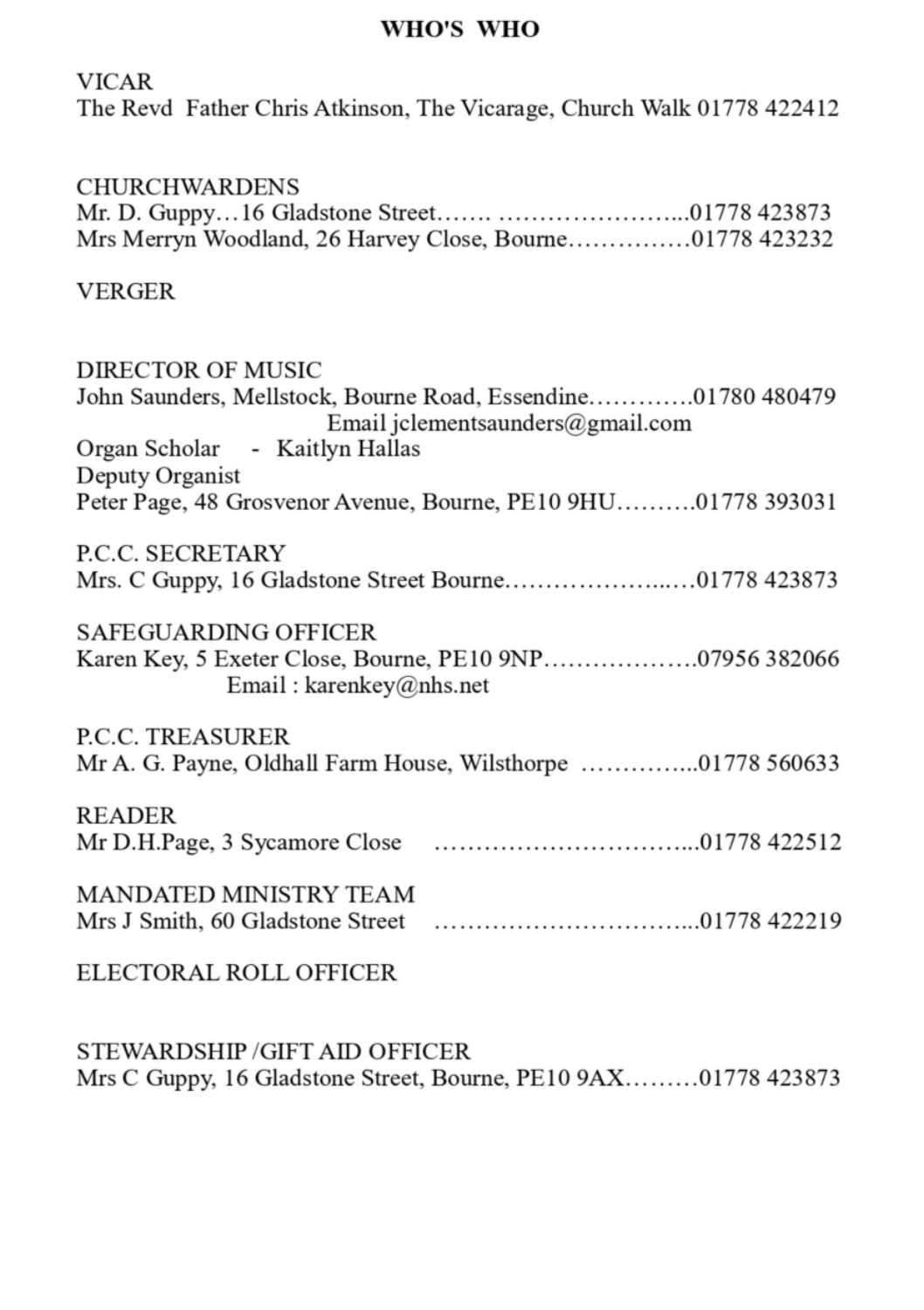#### WHO'S WHO

#### **VICAR** The Revd Father Chris Atkinson, The Vicarage, Church Walk 01778 422412

#### **CHURCHWARDENS**

| Mrs Merryn Woodland, 26 Harvey Close, Bourne01778 423232 |  |
|----------------------------------------------------------|--|

#### **VERGER**

| <b>DIRECTOR OF MUSIC</b>                                                                                          |
|-------------------------------------------------------------------------------------------------------------------|
| John Saunders, Mellstock, Bourne Road, Essendine01780 480479                                                      |
| Email jclementsaunders@gmail.com                                                                                  |
| Organ Scholar - Kaitlyn Hallas                                                                                    |
| Deputy Organist                                                                                                   |
| Peter Page, 48 Grosvenor Avenue, Bourne, PE10 9HU01778 393031                                                     |
| P.C.C. SECRETARY                                                                                                  |
|                                                                                                                   |
| <b>SAFEGUARDING OFFICER</b><br>Karen Key, 5 Exeter Close, Bourne, PE10 9NP07956 382066<br>Email: karenkey@nhs.net |
| <b>P.C.C. TREASURER</b><br>Mr A. G. Payne, Oldhall Farm House, Wilsthorpe 01778 560633                            |
| <b>READER</b>                                                                                                     |
| <b>MANDATED MINISTRY TEAM</b>                                                                                     |
| ELECTORAL ROLL OFFICER                                                                                            |
|                                                                                                                   |

STEWARDSHIP/GIFT AID OFFICER Mrs C Guppy, 16 Gladstone Street, Bourne, PE10 9AX.........01778 423873